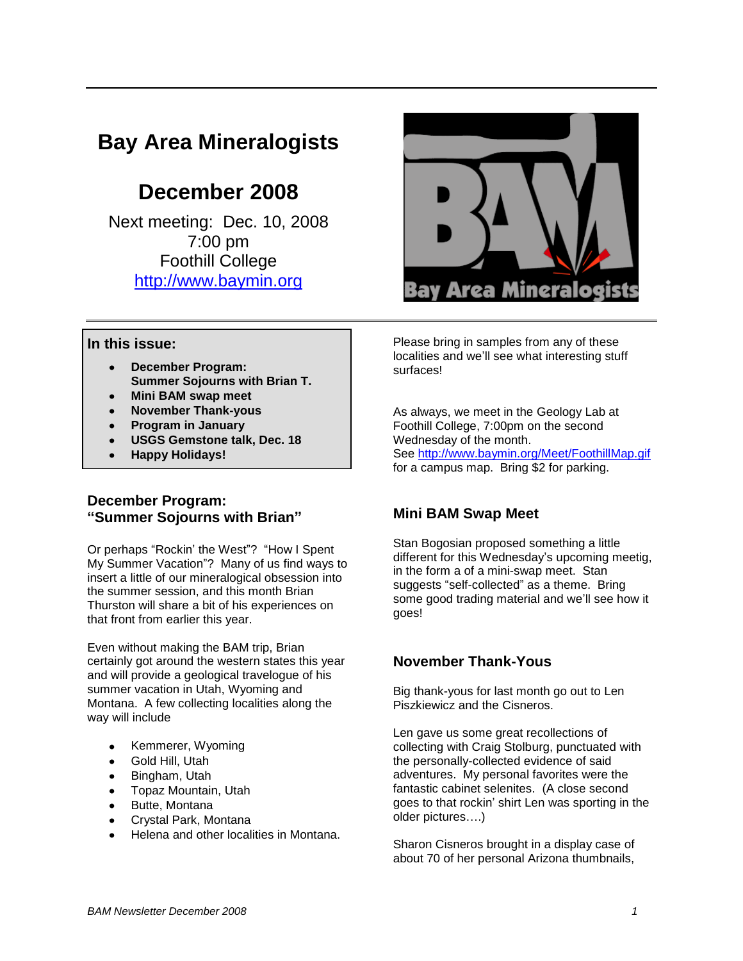# **Bay Area Mineralogists**

# **December 2008**

Next meeting: Dec. 10, 2008 7:00 pm Foothill College [http://www.baymin.org](http://www.baymin.org/)



### **In this issue:**

- **December Program: Summer Sojourns with Brian T.**
- **Mini BAM swap meet**
- **November Thank-yous**
- **Program in January**
- **USGS Gemstone talk, Dec. 18**
- **Happy Holidays!**

### **December Program: "Summer Sojourns with Brian"**

Or perhaps "Rockin' the West"? "How I Spent My Summer Vacation"? Many of us find ways to insert a little of our mineralogical obsession into the summer session, and this month Brian Thurston will share a bit of his experiences on that front from earlier this year.

Even without making the BAM trip, Brian certainly got around the western states this year and will provide a geological travelogue of his summer vacation in Utah, Wyoming and Montana. A few collecting localities along the way will include

- Kemmerer, Wyoming
- Gold Hill, Utah
- Bingham, Utah
- Topaz Mountain, Utah
- Butte, Montana
- Crystal Park, Montana
- Helena and other localities in Montana.

Please bring in samples from any of these localities and we'll see what interesting stuff surfaces!

As always, we meet in the Geology Lab at Foothill College, 7:00pm on the second Wednesday of the month. See<http://www.baymin.org/Meet/FoothillMap.gif> for a campus map. Bring \$2 for parking.

## **Mini BAM Swap Meet**

Stan Bogosian proposed something a little different for this Wednesday's upcoming meetig, in the form a of a mini-swap meet. Stan suggests "self-collected" as a theme. Bring some good trading material and we'll see how it goes!

## **November Thank-Yous**

Big thank-yous for last month go out to Len Piszkiewicz and the Cisneros.

Len gave us some great recollections of collecting with Craig Stolburg, punctuated with the personally-collected evidence of said adventures. My personal favorites were the fantastic cabinet selenites. (A close second goes to that rockin' shirt Len was sporting in the older pictures….)

Sharon Cisneros brought in a display case of about 70 of her personal Arizona thumbnails,